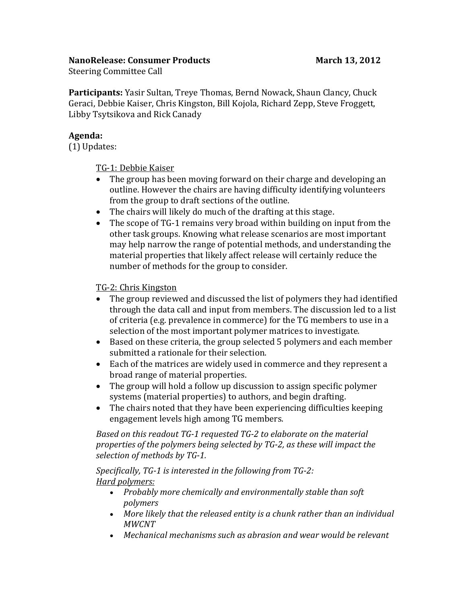### **NanoRelease: Consumer Products March 13, 2012**

Steering Committee Call

**Participants:** Yasir Sultan, Treye Thomas, Bernd Nowack, Shaun Clancy, Chuck Geraci, Debbie Kaiser, Chris Kingston, Bill Kojola, Richard Zepp, Steve Froggett, Libby Tsytsikova and Rick Canady

### **Agenda:**

(1) Updates:

TG-1: Debbie Kaiser

- The group has been moving forward on their charge and developing an outline. However the chairs are having difficulty identifying volunteers from the group to draft sections of the outline.
- The chairs will likely do much of the drafting at this stage.
- The scope of TG-1 remains very broad within building on input from the other task groups. Knowing what release scenarios are most important may help narrow the range of potential methods, and understanding the material properties that likely affect release will certainly reduce the number of methods for the group to consider.

### TG-2: Chris Kingston

- The group reviewed and discussed the list of polymers they had identified through the data call and input from members. The discussion led to a list of criteria (e.g. prevalence in commerce) for the TG members to use in a selection of the most important polymer matrices to investigate.
- Based on these criteria, the group selected 5 polymers and each member submitted a rationale for their selection.
- Each of the matrices are widely used in commerce and they represent a broad range of material properties.
- The group will hold a follow up discussion to assign specific polymer systems (material properties) to authors, and begin drafting.
- The chairs noted that they have been experiencing difficulties keeping engagement levels high among TG members.

*Based on this readout TG-1 requested TG-2 to elaborate on the material properties of the polymers being selected by TG-2, as these will impact the selection of methods by TG-1.* 

*Specifically, TG-1 is interested in the following from TG-2: Hard polymers:*

- *Probably more chemically and environmentally stable than soft polymers*
- *More likely that the released entity is a chunk rather than an individual MWCNT*
- *Mechanical mechanisms such as abrasion and wear would be relevant*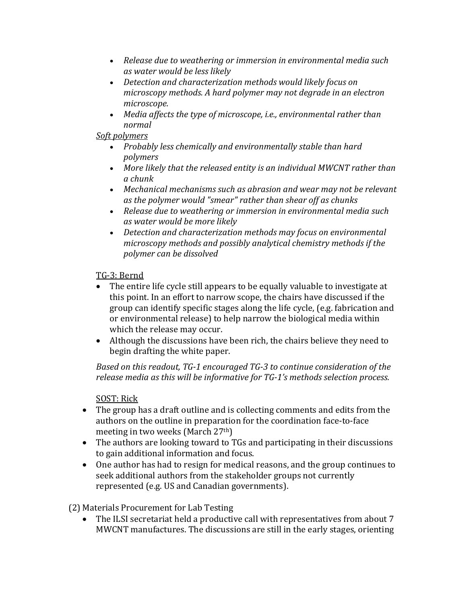- *Release due to weathering or immersion in environmental media such as water would be less likely*
- *Detection and characterization methods would likely focus on microscopy methods. A hard polymer may not degrade in an electron microscope.*
- *Media affects the type of microscope, i.e., environmental rather than normal*

# *Soft polymers*

- *Probably less chemically and environmentally stable than hard polymers*
- *More likely that the released entity is an individual MWCNT rather than a chunk*
- *Mechanical mechanisms such as abrasion and wear may not be relevant as the polymer would "smear" rather than shear off as chunks*
- *Release due to weathering or immersion in environmental media such as water would be more likely*
- *Detection and characterization methods may focus on environmental microscopy methods and possibly analytical chemistry methods if the polymer can be dissolved*

## TG-3: Bernd

- The entire life cycle still appears to be equally valuable to investigate at this point. In an effort to narrow scope, the chairs have discussed if the group can identify specific stages along the life cycle, (e.g. fabrication and or environmental release) to help narrow the biological media within which the release may occur.
- Although the discussions have been rich, the chairs believe they need to begin drafting the white paper.

*Based on this readout, TG-1 encouraged TG-3 to continue consideration of the release media as this will be informative for TG-1's methods selection process.* 

## SOST: Rick

- The group has a draft outline and is collecting comments and edits from the authors on the outline in preparation for the coordination face-to-face meeting in two weeks (March 27th)
- The authors are looking toward to TGs and participating in their discussions to gain additional information and focus.
- One author has had to resign for medical reasons, and the group continues to seek additional authors from the stakeholder groups not currently represented (e.g. US and Canadian governments).

(2) Materials Procurement for Lab Testing

 The ILSI secretariat held a productive call with representatives from about 7 MWCNT manufactures. The discussions are still in the early stages, orienting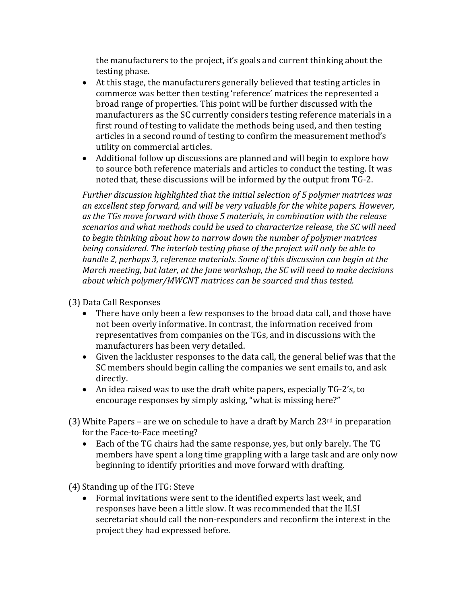the manufacturers to the project, it's goals and current thinking about the testing phase.

- At this stage, the manufacturers generally believed that testing articles in commerce was better then testing 'reference' matrices the represented a broad range of properties. This point will be further discussed with the manufacturers as the SC currently considers testing reference materials in a first round of testing to validate the methods being used, and then testing articles in a second round of testing to confirm the measurement method's utility on commercial articles.
- Additional follow up discussions are planned and will begin to explore how to source both reference materials and articles to conduct the testing. It was noted that, these discussions will be informed by the output from TG-2.

*Further discussion highlighted that the initial selection of 5 polymer matrices was an excellent step forward, and will be very valuable for the white papers. However, as the TGs move forward with those 5 materials, in combination with the release scenarios and what methods could be used to characterize release, the SC will need to begin thinking about how to narrow down the number of polymer matrices being considered. The interlab testing phase of the project will only be able to handle 2, perhaps 3, reference materials. Some of this discussion can begin at the March meeting, but later, at the June workshop, the SC will need to make decisions about which polymer/MWCNT matrices can be sourced and thus tested.* 

## (3) Data Call Responses

- There have only been a few responses to the broad data call, and those have not been overly informative. In contrast, the information received from representatives from companies on the TGs, and in discussions with the manufacturers has been very detailed.
- Given the lackluster responses to the data call, the general belief was that the SC members should begin calling the companies we sent emails to, and ask directly.
- An idea raised was to use the draft white papers, especially TG-2's, to encourage responses by simply asking, "what is missing here?"

(3) White Papers – are we on schedule to have a draft by March  $23<sup>rd</sup>$  in preparation for the Face-to-Face meeting?

 Each of the TG chairs had the same response, yes, but only barely. The TG members have spent a long time grappling with a large task and are only now beginning to identify priorities and move forward with drafting.

(4) Standing up of the ITG: Steve

 Formal invitations were sent to the identified experts last week, and responses have been a little slow. It was recommended that the ILSI secretariat should call the non-responders and reconfirm the interest in the project they had expressed before.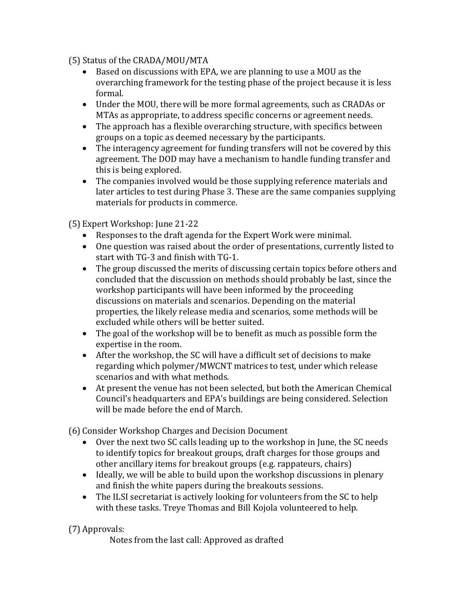(5) Status of the CRADA/MOU/MTA

- Based on discussions with EPA, we are planning to use a MOU as the overarching framework for the testing phase of the project because it is less formal.
- Under the MOU, there will be more formal agreements, such as CRADAs or MTAs as appropriate, to address specific concerns or agreement needs.
- The approach has a flexible overarching structure, with specifics between groups on a topic as deemed necessary by the participants.
- The interagency agreement for funding transfers will not be covered by this agreement. The DOD may have a mechanism to handle funding transfer and this is being explored.
- The companies involved would be those supplying reference materials and later articles to test during Phase 3. These are the same companies supplying materials for products in commerce.

(5) Expert Workshop: June 21-22

- Responses to the draft agenda for the Expert Work were minimal.
- One question was raised about the order of presentations, currently listed to start with TG-3 and finish with TG-1.
- The group discussed the merits of discussing certain topics before others and concluded that the discussion on methods should probably be last, since the workshop participants will have been informed by the proceeding discussions on materials and scenarios. Depending on the material properties, the likely release media and scenarios, some methods will be excluded while others will be better suited.
- The goal of the workshop will be to benefit as much as possible form the expertise in the room.
- After the workshop, the SC will have a difficult set of decisions to make regarding which polymer/MWCNT matrices to test, under which release scenarios and with what methods.
- At present the venue has not been selected, but both the American Chemical Council's headquarters and EPA's buildings are being considered. Selection will be made before the end of March.

(6) Consider Workshop Charges and Decision Document

- Over the next two SC calls leading up to the workshop in June, the SC needs to identify topics for breakout groups, draft charges for those groups and other ancillary items for breakout groups (e.g. rappateurs, chairs)
- Ideally, we will be able to build upon the workshop discussions in plenary and finish the white papers during the breakouts sessions.
- The ILSI secretariat is actively looking for volunteers from the SC to help with these tasks. Treye Thomas and Bill Kojola volunteered to help.

(7) Approvals:

Notes from the last call: Approved as drafted